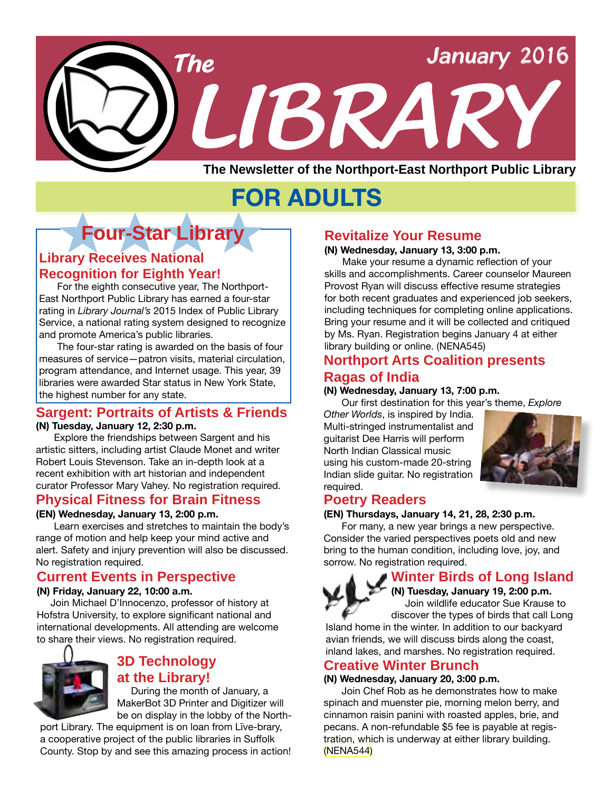

# **FOR ADULTS**

# **Four-Star Library**

### **Library Receives National Recognition for Eighth Year!**

For the eighth consecutive year, The Northport-East Northport Public Library has earned a four-star rating in *Library Journal's* 2015 Index of Public Library Service, a national rating system designed to recognize and promote America's public libraries.

The four-star rating is awarded on the basis of four measures of service—patron visits, material circulation, program attendance, and Internet usage. This year, 39 libraries were awarded Star status in New York State, the highest number for any state.

#### **Sargent: Portraits of Artists & Friends (N) Tuesday, January 12, 2:30 p.m.**

Explore the friendships between Sargent and his artistic sitters, including artist Claude Monet and writer Robert Louis Stevenson. Take an in-depth look at a recent exhibition with art historian and independent curator Professor Mary Vahey. No registration required.

#### **Physical Fitness for Brain Fitness**

**(EN) Wednesday, January 13, 2:00 p.m.** Learn exercises and stretches to maintain the body's range of motion and help keep your mind active and alert. Safety and injury prevention will also be discussed. No registration required.

### **Current Events in Perspective**

#### **(N) Friday, January 22, 10:00 a.m.**

 Join Michael D'Innocenzo, professor of history at Hofstra University, to explore significant national and international developments. All attending are welcome to share their views. No registration required.



# **3D Technology at the Library!**

 During the month of January, a MakerBot 3D Printer and Digitizer will be on display in the lobby of the North-

port Library. The equipment is on loan from Līve-brary, a cooperative project of the public libraries in Suffolk County. Stop by and see this amazing process in action!

# **Revitalize Your Resume**

#### **(N) Wednesday, January 13, 3:00 p.m.**

Make your resume a dynamic reflection of your skills and accomplishments. Career counselor Maureen Provost Ryan will discuss effective resume strategies for both recent graduates and experienced job seekers, including techniques for completing online applications. Bring your resume and it will be collected and critiqued by Ms. Ryan. Registration begins January 4 at either library building or online. ([NENA545](http://alpha1.suffolk.lib.ny.us/record%3Dg1060419~S43))

#### **Northport Arts Coalition presents Ragas of India**

#### **(N) Wednesday, January 13, 7:00 p.m.**

Our first destination for this year's theme, *Explore* 

*Other Worlds*, is inspired by India. Multi-stringed instrumentalist and guitarist Dee Harris will perform North Indian Classical music using his custom-made 20-string Indian slide guitar. No registration required.



# **Poetry Readers**

#### **(EN) Thursdays, January 14, 21, 28, 2:30 p.m.**

For many, a new year brings a new perspective. Consider the varied perspectives poets old and new bring to the human condition, including love, joy, and sorrow. No registration required.

# **Winter Birds of Long Island**

**(N) Tuesday, January 19, 2:00 p.m.** Join wildlife educator Sue Krause to discover the types of birds that call Long

Island home in the winter. In addition to our backyard avian friends, we will discuss birds along the coast, inland lakes, and marshes. No registration required.

# **Creative Winter Brunch**

#### **(N) Wednesday, January 20, 3:00 p.m.**

Join Chef Rob as he demonstrates how to make spinach and muenster pie, morning melon berry, and cinnamon raisin panini with roasted apples, brie, and pecans. A non-refundable \$5 fee is payable at registration, which is underway at either library building. ([NENA544](http://alpha1.suffolk.lib.ny.us/record%3Dg1059584~S43))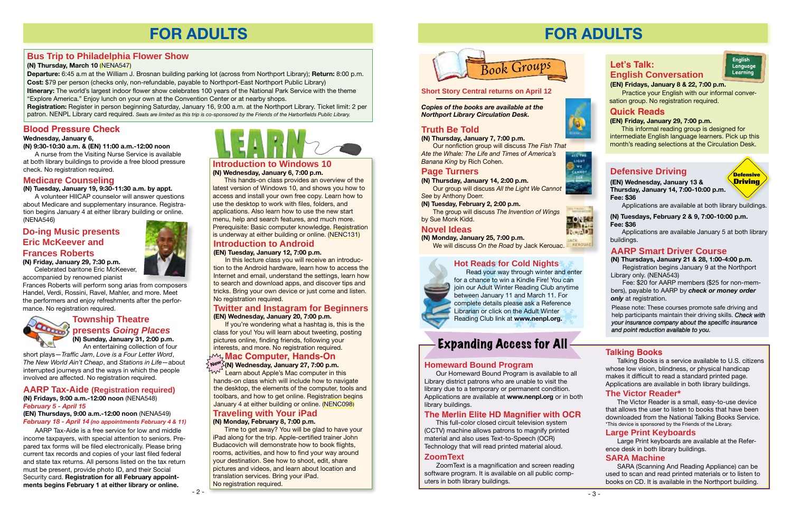# **FOR ADULTS**



# **Defensive Driving**

# **AARP Smart Driver Course**

**(N) Thursdays, January 21 & 28, 1:00-4:00 p.m.** Registration begins January 9 at the Northport Library only. (NENA543)

Fee: \$20 for AARP members (\$25 for non-members), payable to AARP by *check or money order only* at registration.

Please note: These courses promote safe driving and help participants maintain their driving skills. *Check with your insurance company about the specific insurance and point reduction available to you.*

**(EN) Wednesday, January 13 & Thursday, January 14, 7:00-10:00 p.m. Fee: \$36**

Applications are available at both library buildings.

**Defensive Driving**

**(N) Tuesdays, February 2 & 9, 7:00-10:00 p.m. Fee: \$36**

Applications are available January 5 at both library buildings.



#### **(EN) Fridays, January 8 & 22, 7:00 p.m.**

**English Language Learning**

 Practice your English with our informal conversation group. No registration required.

## **Quick Reads**

#### **(EN) Friday, January 29, 7:00 p.m.**

This informal reading group is designed for intermediate English language learners. Pick up this month's reading selections at the Circulation Desk.



**FOR KE** RoAD

# **Talking Books**

Talking Books is a service available to U.S. citizens whose low vision, blindness, or physical handicap makes it difficult to read a standard printed page. Applications are available in both library buildings.

#### **Homeward Bound Program**

Our Homeward Bound Program is available to all Library district patrons who are unable to visit the library due to a temporary or permanent condition. Applications are available at **www.nenpl.org** or in both library buildings.

#### **The Merlin Elite HD Magnifier with OCR**

This full-color closed circuit television system (CCTV) machine allows patrons to magnify printed material and also uses Text-to-Speech (OCR) Technology that will read printed material aloud.

#### **Large Print Keyboards**

Large Print keyboards are available at the Reference desk in both library buildings.

#### **Hot Reads for Cold Nights**



Read your way through winter and enter for a chance to win a Kindle Fire! You can join our Adult Winter Reading Club anytime between January 11 and March 11. For complete details please ask a Reference **Librarian or click on the Adult Winter** Reading Club link at **www.nenpl.org.**

# Expanding Access for All

#### **The Victor Reader\***

If you're wondering what a hashtag is, this is the class for you! You will learn about tweeting, posting pictures online, finding friends, following your interests, and more. No registration required.

> The Victor Reader is a small, easy-to-use device that allows the user to listen to books that have been downloaded from the National Talking Books Service. \*This device is sponsored by the Friends of the Library.

### **ZoomText**

ZoomText is a magnification and screen reading software program. It is available on all public computers in both library buildings.



### **Bus Trip to Philadelphia Flower Show**

**(N) Thursday, March 10** ([NENA547](http://alpha1.suffolk.lib.ny.us/record%3Dg1060206~S43))

**Departure:** 6:45 a.m at the William J. Brosnan building parking lot (across from Northport Library); **Return:** 8:00 p.m. **Cost:** \$79 per person (checks only, non-refundable, payable to Northport-East Northport Public Library)

**Itinerary:** The world's largest indoor flower show celebrates 100 years of the National Park Service with the theme "Explore America." Enjoy lunch on your own at the Convention Center or at nearby shops.

**Registration:** Register in person beginning Saturday, January 16, 9:00 a.m. at the Northport Library. Ticket limit: 2 per patron. NENPL Library card required. *Seats are limited as this trip is co-sponsored by the Friends of the Harborfields Public Library.*

# **FOR ADULTS**

#### **Introduction to Windows 10 (N) Wednesday, January 6, 7:00 p.m.**

This hands-on class provides an overview of the latest version of Windows 10, and shows you how to access and install your own free copy. Learn how to use the desktop to work with files, folders, and applications. Also learn how to use the new start menu, help and search features, and much more. Prerequisite: Basic computer knowledge. Registration is underway at either building or online. [\(NENC131\)](http://alpha1.suffolk.lib.ny.us/record%3Dg1040832~S43)

#### **Township Theatre presents** *Going Places* **(N) Sunday, January 31, 2:00 p.m.**

An entertaining collection of four

short plays—*Traffic Jam*, *Love is a Four Letter Word*, *The New World Ain't Cheap*, and *Stations in Life*—about interrupted journeys and the ways in which the people involved are affected. No registration required.

#### **Introduction to Android**

**(EN) Tuesday, January 12, 7:00 p.m.**

In this lecture class you will receive an introduction to the Android hardware, learn how to access the Internet and email, understand the settings, learn how to search and download apps, and discover tips and tricks. Bring your own device or just come and listen. No registration required.

#### **Twitter and Instagram for Beginners (EN) Wednesday, January 20, 7:00 p.m.**

# **Mac Computer, Hands-On**

# **Traveling with Your iPad**

### **(N) Monday, February 8, 7:00 p.m.**

Time to get away? You will be glad to have your iPad along for the trip. Apple-certified trainer John Budacovich will demonstrate how to book flights, rooms, activities, and how to find your way around your destination. See how to shoot, edit, share pictures and videos, and learn about location and translation services. Bring your iPad. No registration required.

**(N) Wednesday, January 27, 7:00 p.m.** Learn about Apple's Mac computer in this hands-on class which will include how to navigate the desktop, the elements of the computer, tools and toolbars, and how to get online. Registration begins January 4 at either building or online. ([NENC098](http://alpha1.suffolk.lib.ny.us/record%3Dg1060414~S43)) **New**

#### **AARP Tax-Aide (Registration required)**

#### **(N) Fridays, 9:00 a.m.-12:00 noon** (NENA548) *February 5 - April 15*

#### **(EN) Thursdays, 9:00 a.m.-12:00 noon** (NENA549) *February 18 - April 14 (no appointments February 4 & 11)*

AARP Tax-Aide is a free service for low and middle income taxpayers, with special attention to seniors. Prepared tax forms will be filed electronically. Please bring current tax records and copies of your last filed federal and state tax returns. All persons listed on the tax return must be present, provide photo ID, and their Social Security card. **Registration for all February appointments begins February 1 at either library or online.**

#### **SARA Machine**

SARA (Scanning And Reading Appliance) can be used to scan and read printed materials or to listen to books on CD. It is available in the Northport building.

#### **Do-ing Music presents Eric McKeever and Frances Roberts (N) Friday, January 29, 7:30 p.m.**



Celebrated baritone Eric McKeever, accompanied by renowned pianist

Frances Roberts will perform song arias from composers Handel, Verdi, Rossini, Ravel, Mahler, and more. Meet the performers and enjoy refreshments after the performance. No registration required.



#### **Short Story Central returns on April 12**

*Copies of the books are available at the Northport Library Circulation Desk.* 

# **Truth Be Told**

**(N) Thursday, January 7, 7:00 p.m.** Our nonfiction group will discuss *The Fish That* 

*Ate the Whale: The Life and Times of America's Banana King* by Rich Cohen.

## **Page Turners**

**(N) Thursday, January 14, 2:00 p.m.** Our group will discuss *All the Light We Cannot* 

- *See* by Anthony Doerr.
- **(N) Tuesday, February 2, 2:00 p.m.** The group will discuss *The Invention of Wings* by Sue Monk Kidd.

### **Novel Ideas**

**(N) Monday, January 25, 7:00 p.m.** We will discuss *On the Road* by Jack Kerouac.



#### **Medicare Counseling**

**(N) Tuesday, January 19, 9:30-11:30 a.m. by appt.**

A volunteer HIICAP counselor will answer questions about Medicare and supplementary insurance. Registration begins January 4 at either library building or online. (NENA546)

# **Blood Pressure Check**

#### **Wednesday, January 6,**

**(N) 9:30-10:30 a.m. & (EN) 11:00 a.m.-12:00 noon**

A nurse from the Visiting Nurse Service is available at both library buildings to provide a free blood pressure check. No registration required.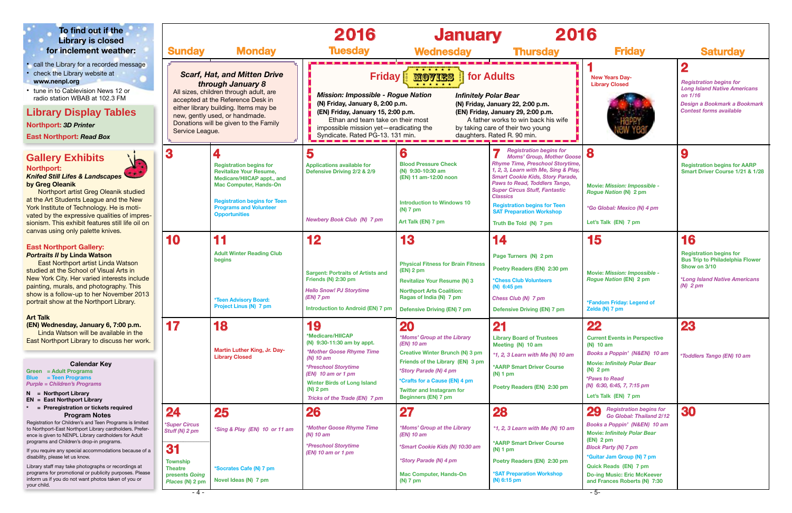

| 2016                                                                                                                                                                                                                                                                                                                                                                                           |                                                                                                                                                                                                                                                                                                                                  |                                                                                                                                                                               |
|------------------------------------------------------------------------------------------------------------------------------------------------------------------------------------------------------------------------------------------------------------------------------------------------------------------------------------------------------------------------------------------------|----------------------------------------------------------------------------------------------------------------------------------------------------------------------------------------------------------------------------------------------------------------------------------------------------------------------------------|-------------------------------------------------------------------------------------------------------------------------------------------------------------------------------|
| <b>Thursday</b>                                                                                                                                                                                                                                                                                                                                                                                | <b>Friday</b>                                                                                                                                                                                                                                                                                                                    | <b>Saturday</b>                                                                                                                                                               |
| dults<br>งlar Bear<br>anuary 22, 2:00 p.m.<br>January 29, 2:00 p.m.<br>works to win back his wife<br>e of their two young<br>ated R. 90 min.                                                                                                                                                                                                                                                   | <b>New Years Day-</b><br><b>Library Closed</b>                                                                                                                                                                                                                                                                                   | $\overline{\mathbf{2}}$<br><b>Registration begins for</b><br><b>Long Island Native Americans</b><br>on 1/16<br>Design a Bookmark a Bookmark<br><b>Contest forms available</b> |
| <b>Registration begins for</b><br>7<br><b>Moms' Group, Mother Goose</b><br>Rhyme Time, Preschool Storytime,<br>1, 2, 3, Learn with Me, Sing & Play,<br><b>Smart Cookie Kids, Story Parade,</b><br>Paws to Read, Toddlers Tango,<br><b>Super Circus Stuff, Fantastic</b><br><b>Classics</b><br><b>Registration begins for Teen</b><br><b>SAT Preparation Workshop</b><br>Truth Be Told (N) 7 pm | 8<br><b>Movie: Mission: Impossible -</b><br><b>Rogue Nation (N) 2 pm</b><br>*Go Global: Mexico (N) 4 pm<br>Let's Talk (EN) 7 pm                                                                                                                                                                                                  | 9<br><b>Registration begins for AARP</b><br>Smart Driver Course 1/21 & 1/28                                                                                                   |
| 14                                                                                                                                                                                                                                                                                                                                                                                             | 15                                                                                                                                                                                                                                                                                                                               | 16                                                                                                                                                                            |
| Page Turners (N) 2 pm<br>Poetry Readers (EN) 2:30 pm<br><b>*Chess Club Volunteers</b><br>$(N)$ 6:45 pm<br>Chess Club (N) 7 pm<br><b>Defensive Driving (EN) 7 pm</b>                                                                                                                                                                                                                            | <b>Movie: Mission: Impossible -</b><br><b>Rogue Nation (EN) 2 pm</b><br>*Fandom Friday: Legend of<br>Zelda (N) 7 pm                                                                                                                                                                                                              | <b>Registration begins for</b><br><b>Bus Trip to Philadelphia Flower</b><br>Show on 3/10<br><i><b>*Long Island Native Americans</b></i><br>$(N)$ 2 pm                         |
| 21<br><b>Library Board of Trustees</b><br>Meeting (N) 10 am<br>$*1$ , 2, 3 Learn with Me (N) 10 am<br><b>*AARP Smart Driver Course</b><br>$(N)$ 1 pm<br>Poetry Readers (EN) 2:30 pm                                                                                                                                                                                                            | 22<br><b>Current Events in Perspective</b><br>(N) 10 am<br>Books a Poppin' (N&EN) 10 am<br><b>Movie: Infinitely Polar Bear</b><br>$(N)$ 2 pm<br><i><b>*Paws to Read</b></i><br>(N) 6:30, 6:45, 7, 7:15 pm<br>Let's Talk (EN) 7 pm                                                                                                | 23<br><i><b>*Toddlers Tango (EN) 10 am</b></i>                                                                                                                                |
| 28<br>$*1$ , 2, 3 Learn with Me (N) 10 am<br><b>*AARP Smart Driver Course</b><br>$(N)$ 1 pm<br>Poetry Readers (EN) 2:30 pm<br><b>*SAT Preparation Workshop</b><br>$(N)$ 6:15 pm                                                                                                                                                                                                                | <b>Registration begins for</b><br><b>29</b><br>Go Global: Thailand 2/12<br>Books a Poppin' (N&EN) 10 am<br><b>Movie: Infinitely Polar Bear</b><br>$(EN)$ 2 pm<br><b>Block Party (N) 7 pm</b><br>*Guitar Jam Group (N) 7 pm<br><b>Quick Reads (EN) 7 pm</b><br><b>Do-ing Music: Eric McKeever</b><br>and Frances Roberts (N) 7:30 | 30                                                                                                                                                                            |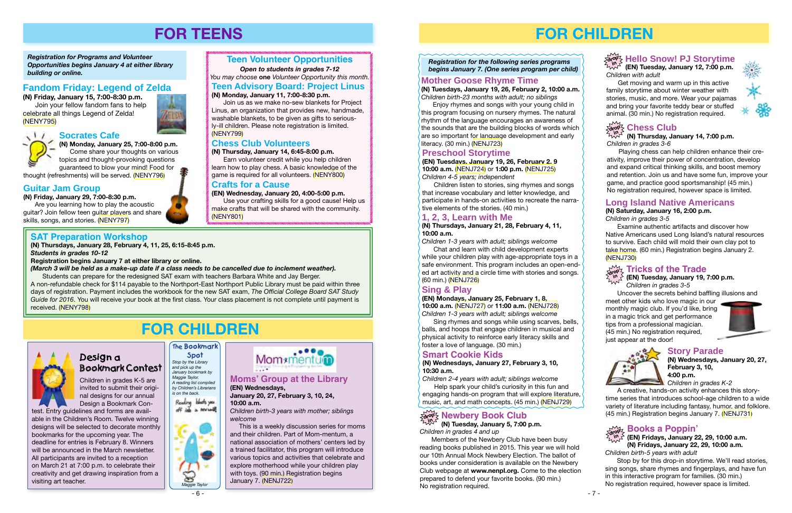# **FOR CHILDREN**

**(N) Tuesday, January 5, 7:00 p.m.** *Children in grades 4 and up*

#### **Newbery Book Club drop in**

Members of the Newbery Club have been busy reading books published in 2015. This year we will hold our 10th Annual Mock Newbery Election. The ballot of books under consideration is available on the Newbery Club webpage at **www.nenpl.org.** Come to the election prepared to defend your favorite books. (90 min.) No registration required.

Enjoy rhymes and songs with your young child in this program focusing on nursery rhymes. The natural thythm of the language encourages an awareness of the sounds that are the building blocks of words which are so important for language development and early  $\prime$  literacy. (30 min.) [\(NENJ723\)](http://alpha1.suffolk.lib.ny.us/record%3Dg1059629~S43)

**(N) Thursday, January 14, 7:00 p.m.** *Children in grades 3-6*

Playing chess can help children enhance their creativity, improve their power of concentration, develop and expand critical thinking skills, and boost memory and retention. Join us and have some fun, improve your game, and practice good sportsmanship! (45 min.) No registration required, however space is limited.

# **Mother Goose Rhyme Time**

**(N) Tuesdays, January 19, 26, February 2, 10:00 a.m.** *Children birth-23 months with adult; no siblings*

# **Preschool Storytime**

**(EN) Tuesdays, January 19, 26, February 2, 9 10:00 a.m.** ([NENJ724](http://alpha1.suffolk.lib.ny.us/record%3Dg1059647~S43)) or **1:00 p.m.** ([NENJ725](http://alpha1.suffolk.lib.ny.us/record%3Dg1059649~S43)) *Children 4-5 years; independent*

Children listen to stories, sing rhymes and songs that increase vocabulary and letter knowledge, and participate in hands-on activities to recreate the narrative elements of the stories. (40 min.)

# **1, 2, 3, Learn with Me**

#### **(N) Thursdays, January 21, 28, February 4, 11, 10:00 a.m.**

*Children 1-3 years with adult; siblings welcome*

Chat and learn with child development experts while your children play with age-appropriate toys in a safe environment. This program includes an open-ended art activity and a circle time with stories and songs. (60 min.) ([NENJ726\)](http://alpha1.suffolk.lib.ny.us/record%3Dg1059628~S43)

# **Sing & Play**

#### $\frac{1}{\alpha^{100}}$  Books a Poppin' **(EN) Fridays, January 22, 29, 10:00 a.m. in (N) Fridays, January 22, 29, 10:00 a.m.**

#### **(EN) Mondays, January 25, February 1, 8, 10:00 a.m.** ([NENJ727\)](http://alpha1.suffolk.lib.ny.us/record%3Dg1059643~S43) or **11:00 a.m.** ([NENJ728](http://alpha1.suffolk.lib.ny.us/record%3Dg1059646~S43)) *Children 1-3 years with adult; siblings welcome*

Sing rhymes and songs while using scarves, bells, balls, and hoops that engage children in musical and physical activity to reinforce early literacy skills and foster a love of language. (30 min.)

# **Smart Cookie Kids**

#### **(N) Wednesdays, January 27, February 3, 10, 10:30 a.m.**

*Children 2-4 years with adult; siblings welcome* Help spark your child's curiosity in this fun and engaging hands-on program that will explore literature, music, art, and math concepts. (45 min.) [\(NENJ729\)](http://alpha1.suffolk.lib.ny.us/record%3Dg1059630~S43)

 *Registration for the following series programs begins January 7. (One series program per child)*

> **Story Parade (N) Wednesdays, January 20, 27, February 3, 10, 4:00 p.m.**

*Children in grades K-2*

A creative, hands-on activity enhances this storytime series that introduces school-age children to a wide variety of literature including fantasy, humor, and folklore. (45 min.) Registration begins January 7. ([NENJ731](http://alpha1.suffolk.lib.ny.us/record%3Dg1059639~S43))



# Design a Bookmark Contest

family storytime about winter weather with stories, music, and more. Wear your pajamas and bring your favorite teddy bear or stuffed animal. (30 min.) No registration required.



# $\frac{1}{2}$  op  $\frac{1}{2}$  Chess Club

# **Long Island Native Americans**

#### **(N) Saturday, January 16, 2:00 p.m.** *Children in grades 3-5*

Examine authentic artifacts and discover how Native Americans used Long Island's natural resources to survive. Each child will mold their own clay pot to take home. (60 min.) Registration begins January 2. ([NENJ730](http://alpha1.suffolk.lib.ny.us/record%3Dg1059738~S43))

Uncover the secrets behind baffling illusions and

#### **Tricks of the Trade (EN) Tuesday, January 19, 7:00 p.m.** *Children in grades 3-5* **drop in**

meet other kids who love magic in our monthly magic club. If you'd like, bring in a magic trick and get performance tips from a professional magician. (45 min.) No registration required, just appear at the door!





*Children birth-5 years with adult*

Stop by for this drop-in storytime. We'll read stories, sing songs, share rhymes and fingerplays, and have fun in this interactive program for families. (30 min.) No registration required, however space is limited.

#### **SAT Preparation Workshop**

**(N) Thursdays, January 28, February 4, 11, 25, 6:15-8:45 p.m.**  *Students in grades 10-12* 

**Registration begins January 7 at either library or online.**

*(March 3 will be held as a make-up date if a class needs to be cancelled due to inclement weather).* Students can prepare for the redesigned SAT exam with teachers Barbara White and Jay Berger.

A non-refundable check for \$114 payable to the Northport-East Northport Public Library must be paid within three days of registration. Payment includes the workbook for the new SAT exam, *The Official College Board SAT Study Guide for 2016*. You will receive your book at the first class. Your class placement is not complete until payment is received. [\(NENY798](http://alpha1.suffolk.lib.ny.us/record%3Dg1060164~S43))

# **FOR TEENS**

*Registration for Programs and Volunteer Opportunities begins January 4 at either library building or online.*

## **Teen Volunteer Opportunities**

*Open to students in grades 7-12 You may choose* **one** *Volunteer Opportunity this month.*

### **Fandom Friday: Legend of Zelda**

**(N) Friday, January 15, 7:00-8:30 p.m.** Join your fellow fandom fans to help celebrate all things Legend of Zelda! [\(NENY795\)](http://alpha1.suffolk.lib.ny.us/record%3Dg1060136~S43)





#### **Socrates Cafe**

# **Guitar Jam Group**

**(N) Friday, January 29, 7:00-8:30 p.m.** Are you learning how to play the acoustic

guitar? Join fellow teen guitar players and share skills, songs, and stories. ([NENY797](http://alpha1.suffolk.lib.ny.us/record%3Dg1060144~S43))

#### **Chess Club Volunteers**

#### **(N) Thursday, January 14, 6:45-8:00 p.m.**

Earn volunteer credit while you help children learn how to play chess. A basic knowledge of the game is required for all volunteers. [\(NENY800](http://alpha1.suffolk.lib.ny.us/record%3Dg1060130~S43))

# **Teen Advisory Board: Project Linus**

#### **(N) Monday, January 11, 7:00-8:30 p.m.**

Join us as we make no-sew blankets for Project Linus, an organization that provides new, handmade, washable blankets, to be given as gifts to seriously-ill children. Please note registration is limited.

**(N) Monday, January 25, 7:00-8:00 p.m.** Come share your thoughts on various topics and thought-provoking questions guaranteed to blow your mind! Food for

thought (refreshments) will be served. ([NENY796](http://alpha1.suffolk.lib.ny.us/record%3Dg1060142~S43))

# **FOR CHILDREN**

Design a Bookmark Con-



able in the Children's Room. Twelve winning designs will be selected to decorate monthly bookmarks for the upcoming year. The deadline for entries is February 8. Winners will be announced in the March newsletter. All participants are invited to a reception on March 21 at 7:00 p.m. to celebrate their creativity and get drawing inspiration from a

 Children in grades K-5 are invited to submit their original designs for our annual *and pick up the January bookmark by Maggie Taylor. A reading list compiled by Children's Librarians is on the back.*

Reading blacks you off into a newsually

visiting art teacher.

*Stop by the Library* 

**The Bookmark Spot**





#### **Moms' Group at the Library (EN) Wednesdays,**

**January 20, 27, February 3, 10, 24, 10:00 a.m.**

*Children birth-3 years with mother; siblings welcome*

 This is a weekly discussion series for moms and their children. Part of Mom-mentum, a national association of mothers' centers led by a trained facilitator, this program will introduce various topics and activities that celebrate and explore motherhood while your children play with toys. (90 min.) Registration begins January 7. ([NENJ722\)](http://alpha1.suffolk.lib.ny.us/record%3Dg1059641~S43)



#### **Crafts for a Cause**

**(EN) Wednesday, January 20, 4:00-5:00 p.m.** Use your crafting skills for a good cause! Help us make crafts that will be shared with the community. ([NENY801](http://alpha1.suffolk.lib.ny.us/record%3Dg1060135~S43))